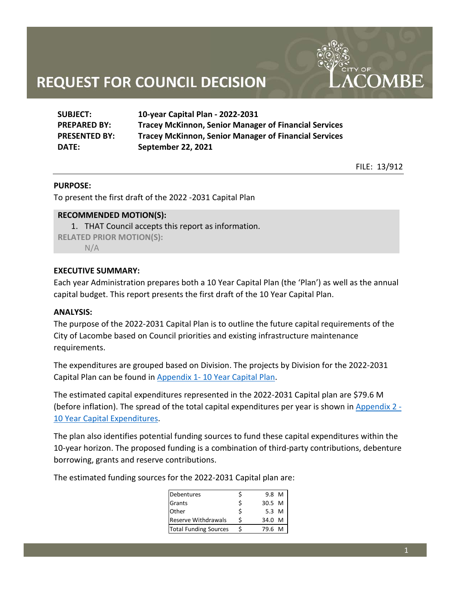| <b>SUBJECT:</b>      | 10-year Capital Plan - 2022-2031                             |
|----------------------|--------------------------------------------------------------|
| <b>PREPARED BY:</b>  | <b>Tracey McKinnon, Senior Manager of Financial Services</b> |
| <b>PRESENTED BY:</b> | <b>Tracey McKinnon, Senior Manager of Financial Services</b> |
| DATE:                | <b>September 22, 2021</b>                                    |

FILE: 13/912

**COMBE** 

#### **PURPOSE:**

To present the first draft of the 2022 -2031 Capital Plan

### **RECOMMENDED MOTION(S):**

1. THAT Council accepts this report as information. **RELATED PRIOR MOTION(S):**   $N/A$ 

### **EXECUTIVE SUMMARY:**

Each year Administration prepares both a 10 Year Capital Plan (the 'Plan') as well as the annual capital budget. This report presents the first draft of the 10 Year Capital Plan.

#### **ANALYSIS:**

The purpose of the 2022-2031 Capital Plan is to outline the future capital requirements of the City of Lacombe based on Council priorities and existing infrastructure maintenance requirements.

The expenditures are grouped based on Division. The projects by Division for the 2022-2031 Capital Plan can be found in Appendix 1- [10 Year Capital Plan.](#page-5-0)

The estimated capital expenditures represented in the 2022-2031 Capital plan are \$79.6 M (before inflation). The spread of the total capital expenditures per year is shown i[n Appendix 2 -](#page-9-0) [10 Year Capital Expenditures.](#page-9-0)

The plan also identifies potential funding sources to fund these capital expenditures within the 10-year horizon. The proposed funding is a combination of third-party contributions, debenture borrowing, grants and reserve contributions.

The estimated funding sources for the 2022-2031 Capital plan are:

| Debentures                   |   | 9.8 M  |
|------------------------------|---|--------|
| <b>Grants</b>                | Ś | 30.5 M |
| Other                        |   | 5.3 M  |
| <b>Reserve Withdrawals</b>   |   | 34.0 M |
| <b>Total Funding Sources</b> |   | 79.6 M |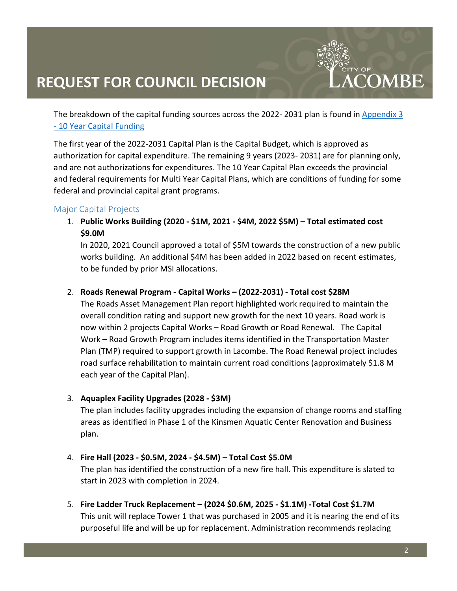The breakdown of the capital funding sources across the 2022- 2031 plan is found in Appendix 3 - [10 Year Capital Funding](#page-10-0)

The first year of the 2022-2031 Capital Plan is the Capital Budget, which is approved as authorization for capital expenditure. The remaining 9 years (2023- 2031) are for planning only, and are not authorizations for expenditures. The 10 Year Capital Plan exceeds the provincial and federal requirements for Multi Year Capital Plans, which are conditions of funding for some federal and provincial capital grant programs.

### Major Capital Projects

1. **Public Works Building (2020 - \$1M, 2021 - \$4M, 2022 \$5M) – Total estimated cost \$9.0M**

In 2020, 2021 Council approved a total of \$5M towards the construction of a new public works building. An additional \$4M has been added in 2022 based on recent estimates, to be funded by prior MSI allocations.

### 2. **Roads Renewal Program - Capital Works – (2022-2031) - Total cost \$28M**

The Roads Asset Management Plan report highlighted work required to maintain the overall condition rating and support new growth for the next 10 years. Road work is now within 2 projects Capital Works – Road Growth or Road Renewal. The Capital Work – Road Growth Program includes items identified in the Transportation Master Plan (TMP) required to support growth in Lacombe. The Road Renewal project includes road surface rehabilitation to maintain current road conditions (approximately \$1.8 M each year of the Capital Plan).

### 3. **Aquaplex Facility Upgrades (2028 - \$3M)**

The plan includes facility upgrades including the expansion of change rooms and staffing areas as identified in Phase 1 of the Kinsmen Aquatic Center Renovation and Business plan.

### 4. **Fire Hall (2023 - \$0.5M, 2024 - \$4.5M) – Total Cost \$5.0M**

The plan has identified the construction of a new fire hall. This expenditure is slated to start in 2023 with completion in 2024.

5. **Fire Ladder Truck Replacement – (2024 \$0.6M, 2025 - \$1.1M) -Total Cost \$1.7M** This unit will replace Tower 1 that was purchased in 2005 and it is nearing the end of its purposeful life and will be up for replacement. Administration recommends replacing

**COMBE**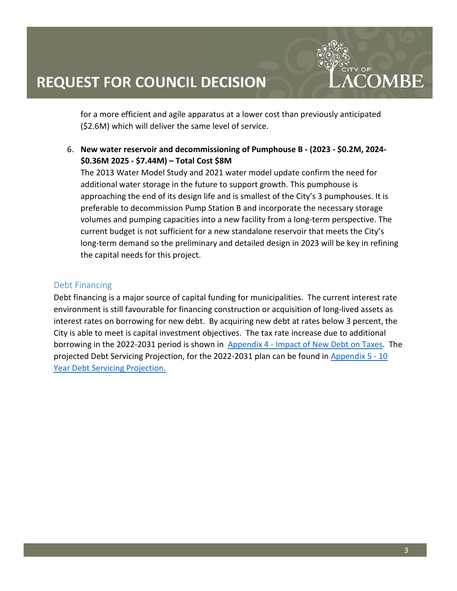**COMBE** 

for a more efficient and agile apparatus at a lower cost than previously anticipated (\$2.6M) which will deliver the same level of service.

6. **New water reservoir and decommissioning of Pumphouse B - (2023 - \$0.2M, 2024- \$0.36M 2025 - \$7.44M) – Total Cost \$8M**

The 2013 Water Model Study and 2021 water model update confirm the need for additional water storage in the future to support growth. This pumphouse is approaching the end of its design life and is smallest of the City's 3 pumphouses. It is preferable to decommission Pump Station B and incorporate the necessary storage volumes and pumping capacities into a new facility from a long-term perspective. The current budget is not sufficient for a new standalone reservoir that meets the City's long-term demand so the preliminary and detailed design in 2023 will be key in refining the capital needs for this project.

## Debt Financing

Debt financing is a major source of capital funding for municipalities. The current interest rate environment is still favourable for financing construction or acquisition of long-lived assets as interest rates on borrowing for new debt. By acquiring new debt at rates below 3 percent, the City is able to meet is capital investment objectives. The tax rate increase due to additional borrowing in the 2022-2031 period is shown in Appendix 4 - [Impact of New Debt on Taxes.](#page-11-0) The projected Debt Servicing Projection, for the 2022-2031 plan can be found in [Appendix 5 -](#page-12-0) 10 [Year Debt Servicing Projection.](#page-12-0)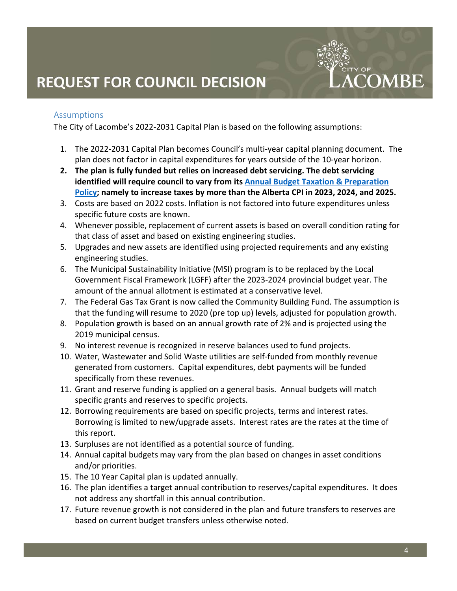### Assumptions

The City of Lacombe's 2022-2031 Capital Plan is based on the following assumptions:

- 1. The 2022-2031 Capital Plan becomes Council's multi-year capital planning document. The plan does not factor in capital expenditures for years outside of the 10-year horizon.
- **2. The plan is fully funded but relies on increased debt servicing. The debt servicing identified will require council to vary from its [Annual Budget Taxation & Preparation](https://www.google.com/url?sa=t&rct=j&q=&esrc=s&source=web&cd=&ved=2ahUKEwjPnbvxg5bzAhVZEFkFHQk7DkYQFnoECAMQAQ&url=https%3A%2F%2Flacombe.ca%2FDocumentCenter%2FView%2F1785&usg=AOvVaw0zlAhGbVwlLwzc2UnYkRa9)  [Policy;](https://www.google.com/url?sa=t&rct=j&q=&esrc=s&source=web&cd=&ved=2ahUKEwjPnbvxg5bzAhVZEFkFHQk7DkYQFnoECAMQAQ&url=https%3A%2F%2Flacombe.ca%2FDocumentCenter%2FView%2F1785&usg=AOvVaw0zlAhGbVwlLwzc2UnYkRa9) namely to increase taxes by more than the Alberta CPI in 2023, 2024, and 2025.**
- 3. Costs are based on 2022 costs. Inflation is not factored into future expenditures unless specific future costs are known.
- 4. Whenever possible, replacement of current assets is based on overall condition rating for that class of asset and based on existing engineering studies.
- 5. Upgrades and new assets are identified using projected requirements and any existing engineering studies.
- 6. The Municipal Sustainability Initiative (MSI) program is to be replaced by the Local Government Fiscal Framework (LGFF) after the 2023-2024 provincial budget year. The amount of the annual allotment is estimated at a conservative level.
- 7. The Federal Gas Tax Grant is now called the Community Building Fund. The assumption is that the funding will resume to 2020 (pre top up) levels, adjusted for population growth.
- 8. Population growth is based on an annual growth rate of 2% and is projected using the 2019 municipal census.
- 9. No interest revenue is recognized in reserve balances used to fund projects.
- 10. Water, Wastewater and Solid Waste utilities are self-funded from monthly revenue generated from customers. Capital expenditures, debt payments will be funded specifically from these revenues.
- 11. Grant and reserve funding is applied on a general basis. Annual budgets will match specific grants and reserves to specific projects.
- 12. Borrowing requirements are based on specific projects, terms and interest rates. Borrowing is limited to new/upgrade assets. Interest rates are the rates at the time of this report.
- 13. Surpluses are not identified as a potential source of funding.
- 14. Annual capital budgets may vary from the plan based on changes in asset conditions and/or priorities.
- 15. The 10 Year Capital plan is updated annually.
- 16. The plan identifies a target annual contribution to reserves/capital expenditures. It does not address any shortfall in this annual contribution.
- 17. Future revenue growth is not considered in the plan and future transfers to reserves are based on current budget transfers unless otherwise noted.

**COMBE**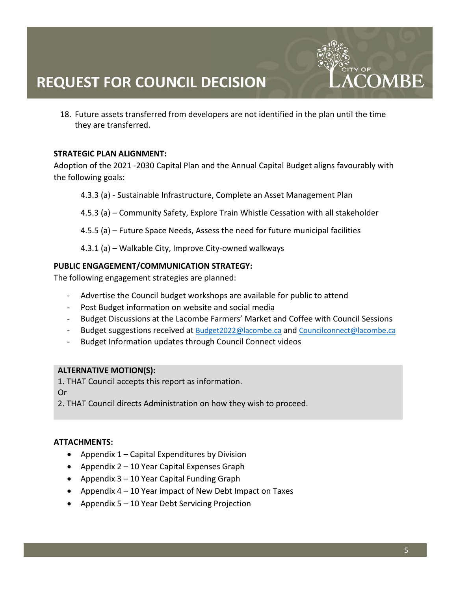18. Future assets transferred from developers are not identified in the plan until the time they are transferred.

### **STRATEGIC PLAN ALIGNMENT:**

Adoption of the 2021 -2030 Capital Plan and the Annual Capital Budget aligns favourably with the following goals:

4.3.3 (a) - Sustainable Infrastructure, Complete an Asset Management Plan

4.5.3 (a) – Community Safety, Explore Train Whistle Cessation with all stakeholder

4.5.5 (a) – Future Space Needs, Assess the need for future municipal facilities

4.3.1 (a) – Walkable City, Improve City-owned walkways

### **PUBLIC ENGAGEMENT/COMMUNICATION STRATEGY:**

The following engagement strategies are planned:

- Advertise the Council budget workshops are available for public to attend
- Post Budget information on website and social media
- Budget Discussions at the Lacombe Farmers' Market and Coffee with Council Sessions
- Budget suggestions received at [Budget2022@lacombe.ca](mailto:Budget2022@lacombe.ca) an[d Councilconnect@lacombe.ca](mailto:Councilconnect@lacombe.ca)
- Budget Information updates through Council Connect videos

### **ALTERNATIVE MOTION(S):**

1. THAT Council accepts this report as information.

Or

2. THAT Council directs Administration on how they wish to proceed.

### **ATTACHMENTS:**

- Appendix 1 Capital Expenditures by Division
- Appendix 2 10 Year Capital Expenses Graph
- Appendix 3 10 Year Capital Funding Graph
- Appendix 4 10 Year impact of New Debt Impact on Taxes
- Appendix 5 10 Year Debt Servicing Projection

**COMRE**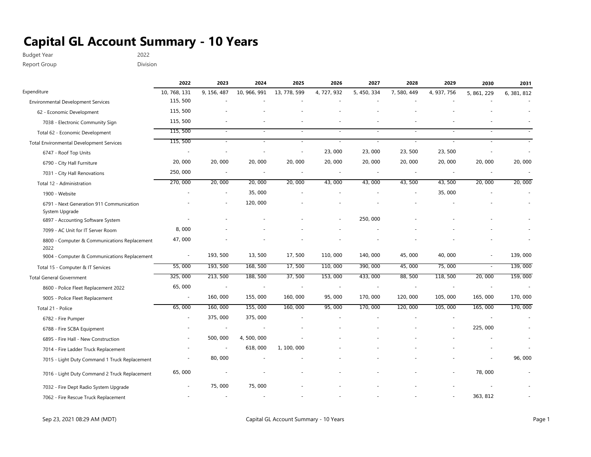<span id="page-5-0"></span>Budget Year 2022 Report Group **Division** 

|                                                            | 2022         | 2023        | 2024                     | 2025         | 2026        | 2027        | 2028        | 2029        | 2030        | 2031        |
|------------------------------------------------------------|--------------|-------------|--------------------------|--------------|-------------|-------------|-------------|-------------|-------------|-------------|
| Expenditure                                                | 10, 768, 131 | 9, 156, 487 | 10, 966, 991             | 13, 778, 599 | 4, 727, 932 | 5, 450, 334 | 7, 580, 449 | 4, 937, 756 | 5, 861, 229 | 6, 381, 812 |
| <b>Environmental Development Services</b>                  | 115,500      |             |                          |              |             |             |             |             |             |             |
| 62 - Economic Development                                  | 115,500      |             |                          |              |             |             |             |             |             |             |
| 7038 - Electronic Community Sign                           | 115,500      |             |                          |              |             |             |             |             |             |             |
| Total 62 - Economic Development                            | 115,500      | $\sim$      | $\overline{\phantom{a}}$ | $\sim$       | $\sim$      |             |             |             |             |             |
| <b>Total Environmental Development Services</b>            | 115,500      | $\sim$      | $\overline{\phantom{a}}$ | $\sim$       | $\sim$      | $\sim$      | $\sim$      | $\sim$      |             |             |
| 6747 - Roof Top Units                                      |              |             |                          |              | 23,000      | 23,000      | 23, 500     | 23, 500     |             |             |
| 6790 - City Hall Furniture                                 | 20,000       | 20,000      | 20,000                   | 20,000       | 20,000      | 20,000      | 20,000      | 20,000      | 20,000      | 20,000      |
| 7031 - City Hall Renovations                               | 250,000      | $\sim$      | $\sim$                   |              |             |             | $\sim$      |             |             |             |
| Total 12 - Administration                                  | 270,000      | 20,000      | 20,000                   | 20,000       | 43,000      | 43,000      | 43,500      | 43, 500     | 20,000      | 20,000      |
| 1900 - Website                                             |              |             | 35,000                   |              |             |             |             | 35,000      |             |             |
| 6791 - Next Generation 911 Communication<br>System Upgrade |              |             | 120,000                  |              |             |             |             |             |             |             |
| 6897 - Accounting Software System                          |              |             |                          |              |             | 250,000     |             |             |             |             |
| 7099 - AC Unit for IT Server Room                          | 8,000        |             |                          |              |             |             |             |             |             |             |
| 8800 - Computer & Communications Replacement<br>2022       | 47,000       |             |                          |              |             |             |             |             |             |             |
| 9004 - Computer & Communications Replacement               | $\sim$       | 193, 500    | 13,500                   | 17,500       | 110,000     | 140, 000    | 45,000      | 40,000      | $\sim$      | 139,000     |
| Total 15 - Computer & IT Services                          | 55,000       | 193, 500    | 168, 500                 | 17,500       | 110,000     | 390, 000    | 45,000      | 75,000      | $\sim$      | 139,000     |
| <b>Total General Government</b>                            | 325,000      | 213, 500    | 188, 500                 | 37,500       | 153,000     | 433,000     | 88,500      | 118,500     | 20,000      | 159,000     |
| 8600 - Police Fleet Replacement 2022                       | 65,000       | $\sim$      | ÷,                       |              |             |             |             |             |             |             |
| 9005 - Police Fleet Replacement                            | $\sim$       | 160,000     | 155,000                  | 160, 000     | 95,000      | 170,000     | 120,000     | 105,000     | 165,000     | 170,000     |
| Total 21 - Police                                          | 65,000       | 160,000     | 155,000                  | 160,000      | 95,000      | 170,000     | 120,000     | 105,000     | 165,000     | 170,000     |
| 6782 - Fire Pumper                                         | $\sim$       | 375,000     | 375,000                  |              |             |             |             |             |             |             |
| 6788 - Fire SCBA Equipment                                 |              | $\sim$      |                          |              |             |             |             |             | 225,000     |             |
| 6895 - Fire Hall - New Construction                        |              | 500, 000    | 4,500,000                |              |             |             |             |             |             |             |
| 7014 - Fire Ladder Truck Replacement                       |              | $\sim$      | 618,000                  | 1, 100, 000  |             |             |             |             |             |             |
| 7015 - Light Duty Command 1 Truck Replacement              |              | 80,000      |                          |              |             |             |             |             |             | 96, 000     |
| 7016 - Light Duty Command 2 Truck Replacement              | 65,000       |             |                          |              |             |             |             |             | 78,000      |             |
| 7032 - Fire Dept Radio System Upgrade                      |              | 75,000      | 75,000                   |              |             |             |             |             |             |             |
| 7062 - Fire Rescue Truck Replacement                       |              |             |                          |              |             |             |             |             | 363, 812    |             |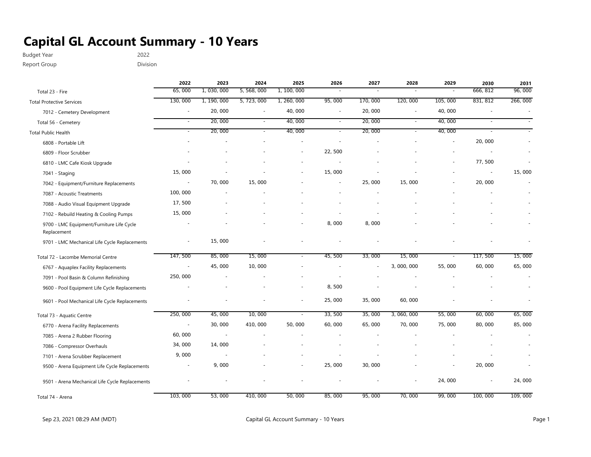Budget Year 2022

Report Group **Division** 

|                                                          | 2022    | 2023        | 2024                     | 2025                     | 2026    | 2027    | 2028        | 2029           | 2030     | 2031    |
|----------------------------------------------------------|---------|-------------|--------------------------|--------------------------|---------|---------|-------------|----------------|----------|---------|
| Total 23 - Fire                                          | 65,000  | 1,030,000   | 5, 568, 000              | 1, 100, 000              | $\sim$  | $\sim$  | $\sim$      | $\sim$         | 666, 812 | 96,000  |
| <b>Total Protective Services</b>                         | 130,000 | 1, 190, 000 | 5, 723, 000              | 1, 260, 000              | 95,000  | 170,000 | 120,000     | 105,000        | 831, 812 | 266,000 |
| 7012 - Cemetery Development                              | $\sim$  | 20,000      | $\sim$                   | 40,000                   | $\sim$  | 20,000  | $\sim$      | 40,000         | $\sim$   |         |
| Total 56 - Cemetery                                      | $\sim$  | 20,000      | $\sim$                   | 40,000                   | $\sim$  | 20,000  | $\sim$      | 40,000         | $\sim$   |         |
| <b>Total Public Health</b>                               | $\sim$  | 20,000      | $\overline{\phantom{a}}$ | 40,000                   |         | 20,000  | $\sim$      | 40,000         |          |         |
| 6808 - Portable Lift                                     |         |             |                          |                          |         |         |             |                | 20,000   |         |
| 6809 - Floor Scrubber                                    |         |             |                          | $\overline{\phantom{a}}$ | 22, 500 |         |             |                |          |         |
| 6810 - LMC Cafe Kiosk Upgrade                            |         |             |                          |                          |         |         |             |                | 77,500   |         |
| 7041 - Staging                                           | 15,000  |             |                          |                          | 15,000  |         |             |                | $\sim$   | 15,000  |
| 7042 - Equipment/Furniture Replacements                  | $\sim$  | 70,000      | 15,000                   |                          |         | 25,000  | 15,000      |                | 20,000   |         |
| 7087 - Acoustic Treatments                               | 100,000 |             |                          |                          |         |         |             |                |          |         |
| 7088 - Audio Visual Equipment Upgrade                    | 17,500  |             |                          |                          |         |         |             |                |          |         |
| 7102 - Rebuild Heating & Cooling Pumps                   | 15,000  |             |                          |                          |         |         |             |                |          |         |
| 9700 - LMC Equipment/Furniture Life Cycle<br>Replacement |         |             |                          |                          | 8,000   | 8,000   |             |                |          |         |
| 9701 - LMC Mechanical Life Cycle Replacements            |         | 15,000      |                          |                          |         |         |             |                |          |         |
| Total 72 - Lacombe Memorial Centre                       | 147,500 | 85,000      | 15,000                   | $\sim$                   | 45,500  | 33,000  | 15,000      | $\blacksquare$ | 117, 500 | 15,000  |
| 6767 - Aquaplex Facility Replacements                    | $\sim$  | 45,000      | 10,000                   |                          |         |         | 3,000,000   | 55,000         | 60,000   | 65,000  |
| 7091 - Pool Basin & Column Refinishing                   | 250,000 |             |                          |                          |         |         |             |                |          |         |
| 9600 - Pool Equipment Life Cycle Replacements            |         |             |                          | $\overline{a}$           | 8,500   |         |             |                |          |         |
| 9601 - Pool Mechanical Life Cycle Replacements           |         |             |                          | $\sim$                   | 25,000  | 35,000  | 60,000      |                |          |         |
| Total 73 - Aquatic Centre                                | 250,000 | 45,000      | 10,000                   | $\sim$                   | 33, 500 | 35,000  | 3, 060, 000 | 55,000         | 60,000   | 65,000  |
| 6770 - Arena Facility Replacements                       | $\sim$  | 30,000      | 410,000                  | 50,000                   | 60,000  | 65,000  | 70,000      | 75,000         | 80,000   | 85,000  |
| 7085 - Arena 2 Rubber Flooring                           | 60,000  | $\sim$      |                          |                          |         |         |             |                |          |         |
| 7086 - Compressor Overhauls                              | 34,000  | 14,000      |                          |                          |         |         |             |                |          |         |
| 7101 - Arena Scrubber Replacement                        | 9,000   |             |                          |                          |         |         |             |                |          |         |
| 9500 - Arena Equipment Life Cycle Replacements           |         | 9,000       |                          |                          | 25,000  | 30,000  |             |                | 20,000   |         |
| 9501 - Arena Mechanical Life Cycle Replacements          |         |             |                          |                          |         |         |             | 24,000         | $\sim$   | 24,000  |
| Total 74 - Arena                                         | 103,000 | 53,000      | 410,000                  | 50,000                   | 85,000  | 95,000  | 70,000      | 99,000         | 100, 000 | 109,000 |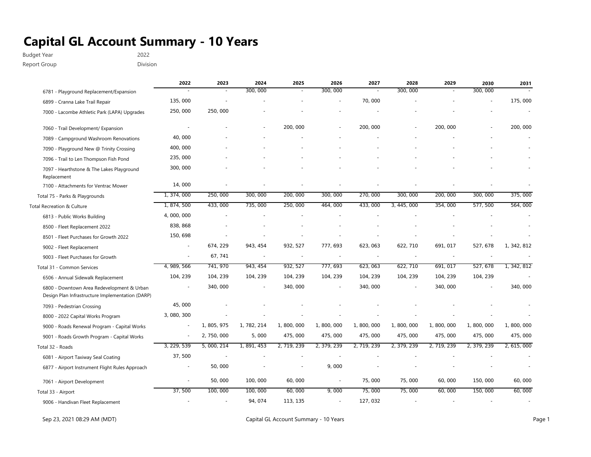Budget Year 2022

Report Group **Division** 

|                                                                                                | 2022                     | 2023        | 2024        | 2025        | 2026        | 2027                     | 2028        | 2029        | 2030        | 2031        |
|------------------------------------------------------------------------------------------------|--------------------------|-------------|-------------|-------------|-------------|--------------------------|-------------|-------------|-------------|-------------|
| 6781 - Playground Replacement/Expansion                                                        |                          |             | 300,000     |             | 300, 000    |                          | 300, 000    |             | 300, 000    |             |
| 6899 - Cranna Lake Trail Repair                                                                | 135,000                  |             |             |             |             | 70,000                   |             |             |             | 175,000     |
| 7000 - Lacombe Athletic Park (LAPA) Upgrades                                                   | 250,000                  | 250,000     |             |             |             |                          |             |             |             |             |
| 7060 - Trail Development/ Expansion                                                            | $\sim$                   |             |             | 200, 000    |             | 200, 000                 |             | 200, 000    |             | 200, 000    |
| 7089 - Campground Washroom Renovations                                                         | 40,000                   |             |             |             |             |                          |             |             |             |             |
| 7090 - Playground New @ Trinity Crossing                                                       | 400,000                  |             |             |             |             |                          |             |             |             |             |
| 7096 - Trail to Len Thompson Fish Pond                                                         | 235,000                  |             |             |             |             |                          |             |             |             |             |
| 7097 - Hearthstone & The Lakes Playground<br>Replacement                                       | 300, 000                 |             |             |             |             |                          |             |             |             |             |
| 7100 - Attachments for Ventrac Mower                                                           | 14,000                   |             |             |             |             |                          |             |             |             |             |
| Total 75 - Parks & Playgrounds                                                                 | 1, 374, 000              | 250,000     | 300, 000    | 200, 000    | 300, 000    | 270,000                  | 300, 000    | 200, 000    | 300, 000    | 375,000     |
| Total Recreation & Culture                                                                     | 1, 874, 500              | 433,000     | 735,000     | 250,000     | 464,000     | 433, 000                 | 3, 445, 000 | 354, 000    | 577, 500    | 564,000     |
| 6813 - Public Works Building                                                                   | 4,000,000                |             |             |             |             |                          |             |             |             |             |
| 8500 - Fleet Replacement 2022                                                                  | 838, 868                 |             |             |             |             |                          |             |             |             |             |
| 8501 - Fleet Purchases for Growth 2022                                                         | 150, 698                 |             |             |             |             |                          |             |             |             |             |
| 9002 - Fleet Replacement                                                                       | $\overline{\phantom{a}}$ | 674, 229    | 943, 454    | 932, 527    | 777, 693    | 623, 063                 | 622, 710    | 691, 017    | 527, 678    | 1, 342, 812 |
| 9003 - Fleet Purchases for Growth                                                              |                          | 67, 741     |             |             |             | $\overline{\phantom{a}}$ |             |             |             |             |
| Total 31 - Common Services                                                                     | 4, 989, 566              | 741, 970    | 943, 454    | 932, 527    | 777, 693    | 623, 063                 | 622, 710    | 691, 017    | 527, 678    | 1, 342, 812 |
| 6506 - Annual Sidewalk Replacement                                                             | 104, 239                 | 104, 239    | 104, 239    | 104, 239    | 104, 239    | 104, 239                 | 104, 239    | 104, 239    | 104, 239    |             |
| 6800 - Downtown Area Redevelopment & Urban<br>Design Plan Infrastructure Implementation (DARP) |                          | 340,000     |             | 340, 000    |             | 340, 000                 |             | 340, 000    |             | 340, 000    |
| 7093 - Pedestrian Crossing                                                                     | 45,000                   |             |             |             |             |                          |             |             |             |             |
| 8000 - 2022 Capital Works Program                                                              | 3, 080, 300              |             |             |             |             |                          |             |             |             |             |
| 9000 - Roads Renewal Program - Capital Works                                                   | $\sim$                   | 1, 805, 975 | 1, 782, 214 | 1,800,000   | 1,800,000   | 1,800,000                | 1,800,000   | 1,800,000   | 1,800,000   | 1,800,000   |
| 9001 - Roads Growth Program - Capital Works                                                    | $\sim$                   | 2, 750, 000 | 5,000       | 475,000     | 475,000     | 475, 000                 | 475,000     | 475, 000    | 475, 000    | 475,000     |
| Total 32 - Roads                                                                               | 3, 229, 539              | 5, 000, 214 | 1, 891, 453 | 2, 719, 239 | 2, 379, 239 | 2, 719, 239              | 2, 379, 239 | 2, 719, 239 | 2, 379, 239 | 2, 615, 000 |
| 6081 - Airport Taxiway Seal Coating                                                            | 37,500                   |             |             |             |             |                          |             |             |             |             |
| 6877 - Airport Instrument Flight Rules Approach                                                |                          | 50,000      |             |             | 9,000       |                          |             |             |             |             |
| 7061 - Airport Development                                                                     |                          | 50,000      | 100,000     | 60,000      |             | 75,000                   | 75,000      | 60,000      | 150,000     | 60,000      |
| Total 33 - Airport                                                                             | 37,500                   | 100,000     | 100,000     | 60,000      | 9,000       | 75,000                   | 75,000      | 60,000      | 150,000     | 60,000      |
| 9006 - Handivan Fleet Replacement                                                              |                          |             | 94, 074     | 113, 135    |             | 127, 032                 |             |             |             |             |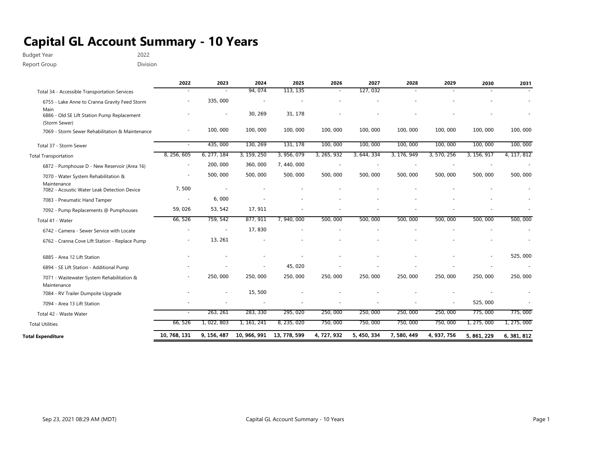Budget Year 2022

Report Group **Division** 

|                                                            | 2022         | 2023                     | 2024         | 2025         | 2026        | 2027        | 2028        | 2029        | 2030        | 2031        |
|------------------------------------------------------------|--------------|--------------------------|--------------|--------------|-------------|-------------|-------------|-------------|-------------|-------------|
| Total 34 - Accessible Transportation Services              |              |                          | 94, 074      | 113, 135     |             | 127, 032    |             |             |             |             |
| 6755 - Lake Anne to Cranna Gravity Feed Storm              |              | 335,000                  |              |              |             |             |             |             |             |             |
| Main<br>6886 - Old SE Lift Station Pump Replacement        |              |                          | 30, 269      | 31, 178      |             |             |             |             |             |             |
| (Storm Sewer)                                              |              |                          |              |              |             |             |             |             |             |             |
| 7069 - Storm Sewer Rehabilitation & Maintenance            |              | 100,000                  | 100,000      | 100,000      | 100,000     | 100,000     | 100,000     | 100,000     | 100, 000    | 100, 000    |
| Total 37 - Storm Sewer                                     |              | 435,000                  | 130, 269     | 131, 178     | 100,000     | 100,000     | 100,000     | 100,000     | 100,000     | 100,000     |
| <b>Total Transportation</b>                                | 8, 256, 605  | 6, 277, 184              | 3, 159, 250  | 3, 956, 079  | 3, 265, 932 | 3, 644, 334 | 3, 176, 949 | 3, 570, 256 | 3, 156, 917 | 4, 117, 812 |
| 6872 - Pumphouse D - New Reservoir (Area 16)               |              | 200, 000                 | 360,000      | 7, 440, 000  |             |             |             |             |             |             |
| 7070 - Water System Rehabilitation &                       |              | 500,000                  | 500, 000     | 500, 000     | 500, 000    | 500,000     | 500, 000    | 500,000     | 500, 000    | 500, 000    |
| Maintenance<br>7082 - Acoustic Water Leak Detection Device | 7,500        | $\sim$                   |              |              |             |             |             |             |             |             |
| 7083 - Pneumatic Hand Tamper                               |              | 6,000                    |              |              |             |             |             |             |             |             |
| 7092 - Pump Replacements @ Pumphouses                      | 59,026       | 53, 542                  | 17, 911      |              |             |             |             |             |             |             |
| Total 41 - Water                                           | 66,526       | 759, 542                 | 877, 911     | 7, 940, 000  | 500,000     | 500,000     | 500,000     | 500,000     | 500, 000    | 500, 000    |
| 6742 - Camera - Sewer Service with Locate                  |              | $\overline{\phantom{a}}$ | 17,830       |              |             |             |             |             |             |             |
| 6762 - Cranna Cove Lift Station - Replace Pump             |              | 13, 261                  |              |              |             |             |             |             |             |             |
| 6885 - Area 12 Lift Station                                |              |                          |              |              |             |             |             |             |             | 525,000     |
| 6894 - SE Lift Station - Additional Pump                   |              |                          |              | 45, 020      |             |             |             |             |             |             |
| 7071 - Wastewater System Rehabilitation &<br>Maintenance   |              | 250,000                  | 250,000      | 250,000      | 250,000     | 250,000     | 250,000     | 250,000     | 250,000     | 250,000     |
| 7084 - RV Trailer Dumpsite Upgrade                         |              |                          | 15,500       |              |             |             |             |             |             |             |
| 7094 - Area 13 Lift Station                                |              |                          |              |              |             |             |             |             | 525,000     |             |
| Total 42 - Waste Water                                     |              | 263, 261                 | 283, 330     | 295, 020     | 250,000     | 250,000     | 250,000     | 250,000     | 775,000     | 775,000     |
| <b>Total Utilities</b>                                     | 66,526       | 1, 022, 803              | 1, 161, 241  | 8, 235, 020  | 750,000     | 750,000     | 750,000     | 750,000     | 1, 275, 000 | 1, 275, 000 |
| <b>Total Expenditure</b>                                   | 10, 768, 131 | 9, 156, 487              | 10, 966, 991 | 13, 778, 599 | 4, 727, 932 | 5, 450, 334 | 7, 580, 449 | 4, 937, 756 | 5, 861, 229 | 6, 381, 812 |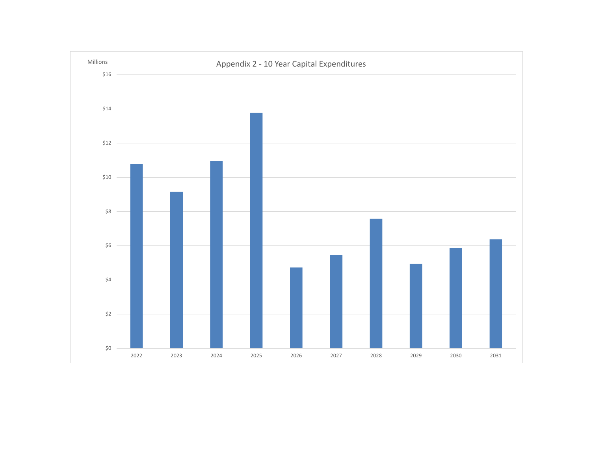<span id="page-9-0"></span>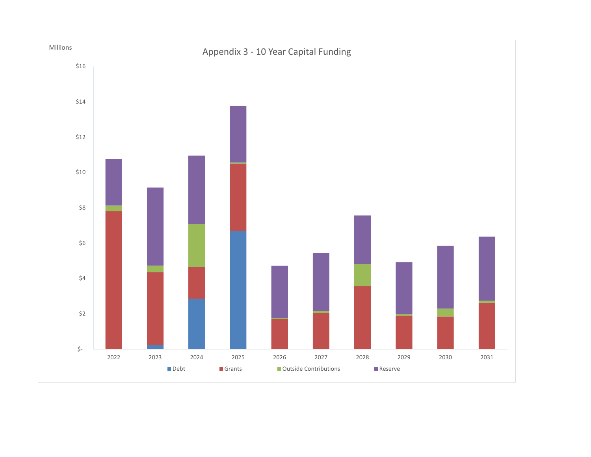<span id="page-10-0"></span>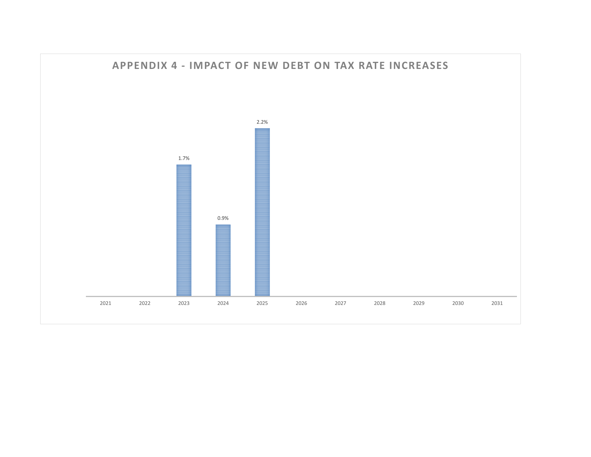<span id="page-11-0"></span>